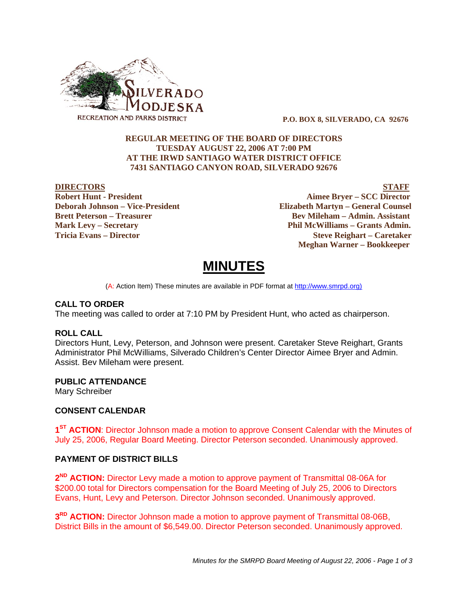

 **P.O. BOX 8, SILVERADO, CA 92676**

### **REGULAR MEETING OF THE BOARD OF DIRECTORS TUESDAY AUGUST 22, 2006 AT 7:00 PM AT THE IRWD SANTIAGO WATER DISTRICT OFFICE 7431 SANTIAGO CANYON ROAD, SILVERADO 92676**

**DIRECTORS STAFF Robert Hunt - President Aimee Bryer – SCC Director Deborah Johnson – Vice-President Elizabeth Martyn – General Counsel Brett Peterson – Treasurer Serverson – Bev Mileham – Admin. Assistant Mark Levy – Secretary Phil McWilliams – Grants Admin. Tricia Evans – Director Steve Reighart – Caretaker Meghan Warner – Bookkeeper**

# **MINUTES**

(A: Action Item) These minutes are available in PDF format at http://www.smrpd.org)

#### **CALL TO ORDER**

The meeting was called to order at 7:10 PM by President Hunt, who acted as chairperson.

#### **ROLL CALL**

Directors Hunt, Levy, Peterson, and Johnson were present. Caretaker Steve Reighart, Grants Administrator Phil McWilliams, Silverado Children's Center Director Aimee Bryer and Admin. Assist. Bev Mileham were present.

#### **PUBLIC ATTENDANCE**

Mary Schreiber

# **CONSENT CALENDAR**

1<sup>ST</sup> ACTION: Director Johnson made a motion to approve Consent Calendar with the Minutes of July 25, 2006, Regular Board Meeting. Director Peterson seconded. Unanimously approved.

# **PAYMENT OF DISTRICT BILLS**

2<sup>ND</sup> ACTION: Director Levy made a motion to approve payment of Transmittal 08-06A for \$200.00 total for Directors compensation for the Board Meeting of July 25, 2006 to Directors Evans, Hunt, Levy and Peterson. Director Johnson seconded. Unanimously approved.

**3<sup>RD</sup> ACTION:** Director Johnson made a motion to approve payment of Transmittal 08-06B, District Bills in the amount of \$6,549.00. Director Peterson seconded. Unanimously approved.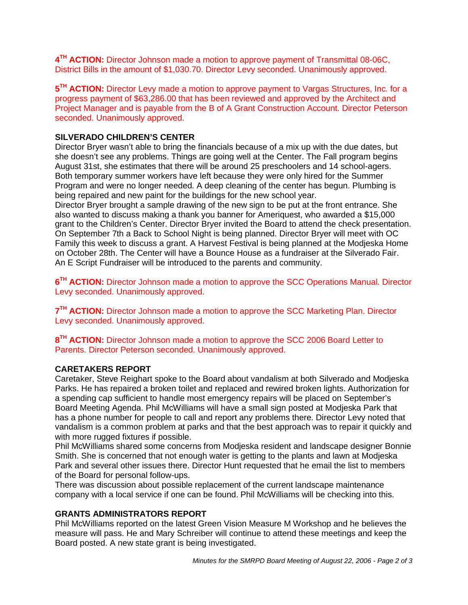**4TH ACTION:** Director Johnson made a motion to approve payment of Transmittal 08-06C, District Bills in the amount of \$1,030.70. Director Levy seconded. Unanimously approved.

5<sup>TH</sup> ACTION: Director Levy made a motion to approve payment to Vargas Structures, Inc. for a progress payment of \$63,286.00 that has been reviewed and approved by the Architect and Project Manager and is payable from the B of A Grant Construction Account. Director Peterson seconded. Unanimously approved.

# **SILVERADO CHILDREN'S CENTER**

Director Bryer wasn't able to bring the financials because of a mix up with the due dates, but she doesn't see any problems. Things are going well at the Center. The Fall program begins August 31st, she estimates that there will be around 25 preschoolers and 14 school-agers. Both temporary summer workers have left because they were only hired for the Summer Program and were no longer needed. A deep cleaning of the center has begun. Plumbing is being repaired and new paint for the buildings for the new school year.

Director Bryer brought a sample drawing of the new sign to be put at the front entrance. She also wanted to discuss making a thank you banner for Ameriquest, who awarded a \$15,000 grant to the Children's Center. Director Bryer invited the Board to attend the check presentation. On September 7th a Back to School Night is being planned. Director Bryer will meet with OC Family this week to discuss a grant. A Harvest Festival is being planned at the Modjeska Home on October 28th. The Center will have a Bounce House as a fundraiser at the Silverado Fair. An E Script Fundraiser will be introduced to the parents and community.

**6TH ACTION:** Director Johnson made a motion to approve the SCC Operations Manual. Director Levy seconded. Unanimously approved.

**7<sup>TH</sup> ACTION:** Director Johnson made a motion to approve the SCC Marketing Plan. Director Levy seconded. Unanimously approved.

8<sup>TH</sup> ACTION: Director Johnson made a motion to approve the SCC 2006 Board Letter to Parents. Director Peterson seconded. Unanimously approved.

# **CARETAKERS REPORT**

Caretaker, Steve Reighart spoke to the Board about vandalism at both Silverado and Modjeska Parks. He has repaired a broken toilet and replaced and rewired broken lights. Authorization for a spending cap sufficient to handle most emergency repairs will be placed on September's Board Meeting Agenda. Phil McWilliams will have a small sign posted at Modjeska Park that has a phone number for people to call and report any problems there. Director Levy noted that vandalism is a common problem at parks and that the best approach was to repair it quickly and with more rugged fixtures if possible.

Phil McWilliams shared some concerns from Modjeska resident and landscape designer Bonnie Smith. She is concerned that not enough water is getting to the plants and lawn at Modjeska Park and several other issues there. Director Hunt requested that he email the list to members of the Board for personal follow-ups.

There was discussion about possible replacement of the current landscape maintenance company with a local service if one can be found. Phil McWilliams will be checking into this.

# **GRANTS ADMINISTRATORS REPORT**

Phil McWilliams reported on the latest Green Vision Measure M Workshop and he believes the measure will pass. He and Mary Schreiber will continue to attend these meetings and keep the Board posted. A new state grant is being investigated.